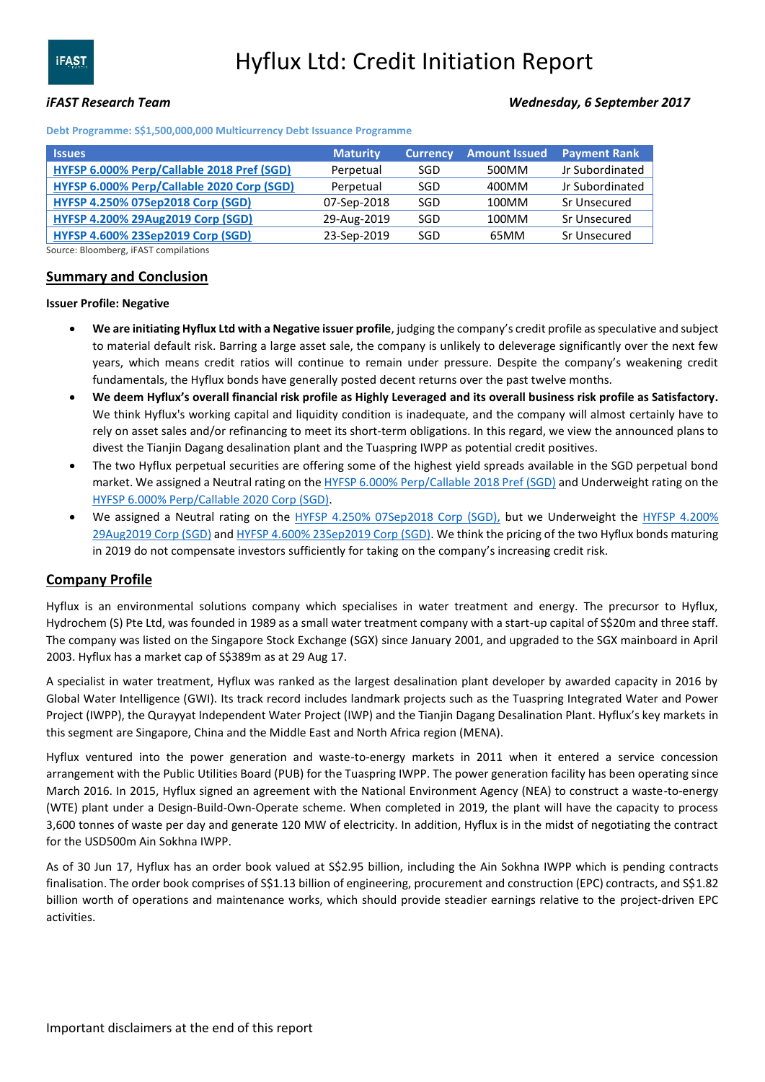## *iFAST Research Team Wednesday, 6 September 2017*

**Debt Programme: S\$1,500,000,000 Multicurrency Debt Issuance Programme**

| <b>Issues</b>                              | <b>Maturity</b> | <b>Currency</b> | <b>Amount Issued</b> | <b>Payment Rank</b> |
|--------------------------------------------|-----------------|-----------------|----------------------|---------------------|
| HYFSP 6.000% Perp/Callable 2018 Pref (SGD) | Perpetual       | SGD             | 500MM                | Jr Subordinated     |
| HYFSP 6.000% Perp/Callable 2020 Corp (SGD) | Perpetual       | SGD             | 400MM                | Jr Subordinated     |
| <b>HYFSP 4.250% 07Sep2018 Corp (SGD)</b>   | 07-Sep-2018     | SGD             | 100MM                | Sr Unsecured        |
| <b>HYFSP 4.200% 29Aug2019 Corp (SGD)</b>   | 29-Aug-2019     | SGD             | 100MM                | Sr Unsecured        |
| <b>HYFSP 4.600% 23Sep2019 Corp (SGD)</b>   | 23-Sep-2019     | SGD             | 65MM                 | Sr Unsecured        |

Source: Bloomberg, iFAST compilations

### **Summary and Conclusion**

#### **Issuer Profile: Negative**

- **We are initiating Hyflux Ltd with a Negative issuer profile**, judging the company's credit profile as speculative and subject to material default risk. Barring a large asset sale, the company is unlikely to deleverage significantly over the next few years, which means credit ratios will continue to remain under pressure. Despite the company's weakening credit fundamentals, the Hyflux bonds have generally posted decent returns over the past twelve months.
- **We deem Hyflux's overall financial risk profile as Highly Leveraged and its overall business risk profile as Satisfactory.** We think Hyflux's working capital and liquidity condition is inadequate, and the company will almost certainly have to rely on asset sales and/or refinancing to meet its short-term obligations. In this regard, we view the announced plans to divest the Tianjin Dagang desalination plant and the Tuaspring IWPP as potential credit positives.
- The two Hyflux perpetual securities are offering some of the highest yield spreads available in the SGD perpetual bond market. We assigned a Neutral rating on th[e HYFSP 6.000% Perp/Callable 2018 Pref \(SGD\)](https://www.bondsupermart.com/main/bond-info/bond-factsheet/SG2D17969577) and Underweight rating on the [HYFSP 6.000% Perp/Callable 2020 Corp \(SGD\).](https://www.bondsupermart.com/main/bond-info/bond-factsheet/LW1439220)
- We assigned a Neutral rating on the [HYFSP 4.250% 07Sep2018 Corp \(SGD\),](https://www.bondsupermart.com/main/bond-info/bond-factsheet/SG6Q70974010) but we Underweight the HYFSP 4.200% [29Aug2019 Corp \(SGD\)](https://www.bondsupermart.com/main/bond-info/bond-factsheet/SG6W23985057) and [HYFSP 4.600% 23Sep2019 Corp \(SGD\).](https://www.bondsupermart.com/main/bond-info/bond-factsheet/SG6Q77974112) We think the pricing of the two Hyflux bonds maturing in 2019 do not compensate investors sufficiently for taking on the company's increasing credit risk.

### **Company Profile**

Hyflux is an environmental solutions company which specialises in water treatment and energy. The precursor to Hyflux, Hydrochem (S) Pte Ltd, was founded in 1989 as a small water treatment company with a start-up capital of S\$20m and three staff. The company was listed on the Singapore Stock Exchange (SGX) since January 2001, and upgraded to the SGX mainboard in April 2003. Hyflux has a market cap of S\$389m as at 29 Aug 17.

A specialist in water treatment, Hyflux was ranked as the largest desalination plant developer by awarded capacity in 2016 by Global Water Intelligence (GWI). Its track record includes landmark projects such as the Tuaspring Integrated Water and Power Project (IWPP), the Qurayyat Independent Water Project (IWP) and the Tianjin Dagang Desalination Plant. Hyflux's key markets in this segment are Singapore, China and the Middle East and North Africa region (MENA).

Hyflux ventured into the power generation and waste-to-energy markets in 2011 when it entered a service concession arrangement with the Public Utilities Board (PUB) for the Tuaspring IWPP. The power generation facility has been operating since March 2016. In 2015, Hyflux signed an agreement with the National Environment Agency (NEA) to construct a waste-to-energy (WTE) plant under a Design-Build-Own-Operate scheme. When completed in 2019, the plant will have the capacity to process 3,600 tonnes of waste per day and generate 120 MW of electricity. In addition, Hyflux is in the midst of negotiating the contract for the USD500m Ain Sokhna IWPP.

As of 30 Jun 17, Hyflux has an order book valued at S\$2.95 billion, including the Ain Sokhna IWPP which is pending contracts finalisation. The order book comprises of S\$1.13 billion of engineering, procurement and construction (EPC) contracts, and S\$1.82 billion worth of operations and maintenance works, which should provide steadier earnings relative to the project-driven EPC activities.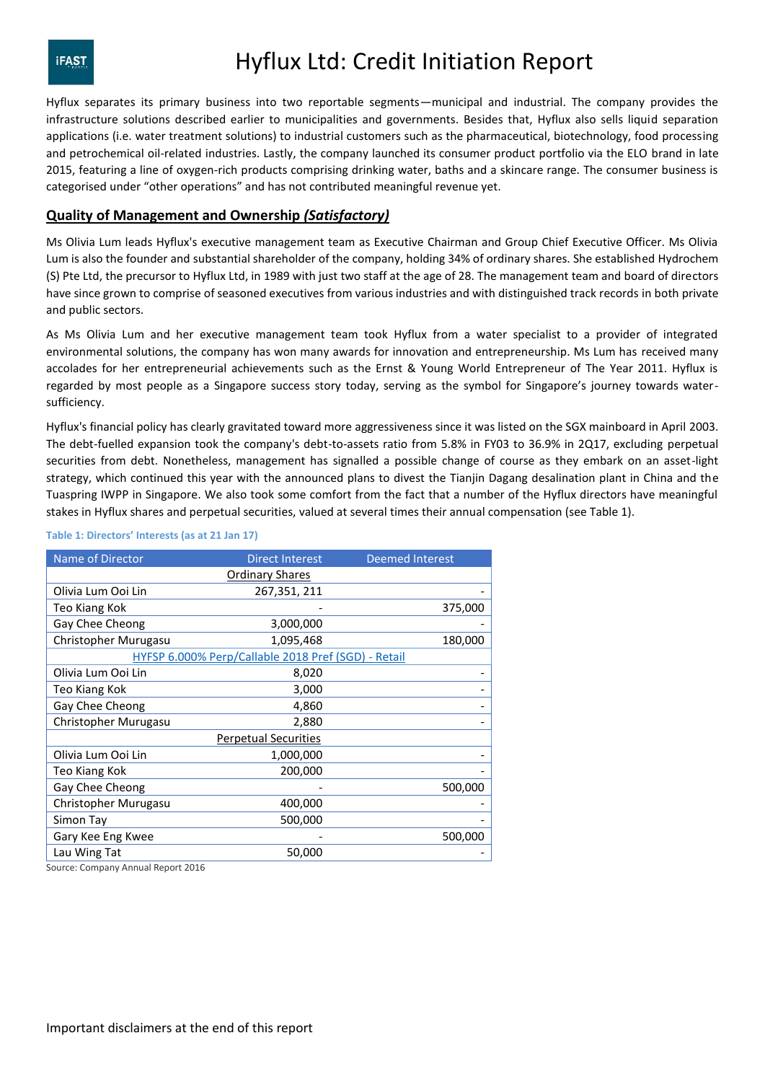Hyflux separates its primary business into two reportable segments—municipal and industrial. The company provides the infrastructure solutions described earlier to municipalities and governments. Besides that, Hyflux also sells liquid separation applications (i.e. water treatment solutions) to industrial customers such as the pharmaceutical, biotechnology, food processing and petrochemical oil-related industries. Lastly, the company launched its consumer product portfolio via the ELO brand in late 2015, featuring a line of oxygen-rich products comprising drinking water, baths and a skincare range. The consumer business is categorised under "other operations" and has not contributed meaningful revenue yet.

### **Quality of Management and Ownership** *(Satisfactory)*

Ms Olivia Lum leads Hyflux's executive management team as Executive Chairman and Group Chief Executive Officer. Ms Olivia Lum is also the founder and substantial shareholder of the company, holding 34% of ordinary shares. She established Hydrochem (S) Pte Ltd, the precursor to Hyflux Ltd, in 1989 with just two staff at the age of 28. The management team and board of directors have since grown to comprise of seasoned executives from various industries and with distinguished track records in both private and public sectors.

As Ms Olivia Lum and her executive management team took Hyflux from a water specialist to a provider of integrated environmental solutions, the company has won many awards for innovation and entrepreneurship. Ms Lum has received many accolades for her entrepreneurial achievements such as the Ernst & Young World Entrepreneur of The Year 2011. Hyflux is regarded by most people as a Singapore success story today, serving as the symbol for Singapore's journey towards watersufficiency.

Hyflux's financial policy has clearly gravitated toward more aggressiveness since it was listed on the SGX mainboard in April 2003. The debt-fuelled expansion took the company's debt-to-assets ratio from 5.8% in FY03 to 36.9% in 2Q17, excluding perpetual securities from debt. Nonetheless, management has signalled a possible change of course as they embark on an asset-light strategy, which continued this year with the announced plans to divest the Tianjin Dagang desalination plant in China and the Tuaspring IWPP in Singapore. We also took some comfort from the fact that a number of the Hyflux directors have meaningful stakes in Hyflux shares and perpetual securities, valued at several times their annual compensation (see Table 1).

#### **Table 1: Directors' Interests (as at 21 Jan 17)**

| Name of Director                                    | <b>Direct Interest</b> | <b>Deemed Interest</b> |  |  |  |  |  |  |  |
|-----------------------------------------------------|------------------------|------------------------|--|--|--|--|--|--|--|
| <b>Ordinary Shares</b>                              |                        |                        |  |  |  |  |  |  |  |
| Olivia Lum Ooi Lin                                  | 267,351, 211           |                        |  |  |  |  |  |  |  |
| Teo Kiang Kok                                       |                        | 375,000                |  |  |  |  |  |  |  |
| Gay Chee Cheong                                     | 3,000,000              |                        |  |  |  |  |  |  |  |
| Christopher Murugasu                                | 1,095,468              | 180,000                |  |  |  |  |  |  |  |
| HYFSP 6.000% Perp/Callable 2018 Pref (SGD) - Retail |                        |                        |  |  |  |  |  |  |  |
| Olivia Lum Ooi Lin                                  | 8,020                  |                        |  |  |  |  |  |  |  |
| Teo Kiang Kok                                       | 3,000                  |                        |  |  |  |  |  |  |  |
| Gay Chee Cheong                                     | 4,860                  |                        |  |  |  |  |  |  |  |
| Christopher Murugasu                                | 2,880                  |                        |  |  |  |  |  |  |  |
| <b>Perpetual Securities</b>                         |                        |                        |  |  |  |  |  |  |  |
| Olivia Lum Ooi Lin                                  | 1,000,000              |                        |  |  |  |  |  |  |  |
| Teo Kiang Kok                                       | 200,000                |                        |  |  |  |  |  |  |  |
| Gay Chee Cheong                                     |                        | 500,000                |  |  |  |  |  |  |  |
| Christopher Murugasu                                | 400,000                |                        |  |  |  |  |  |  |  |
| Simon Tay                                           | 500,000                |                        |  |  |  |  |  |  |  |
| Gary Kee Eng Kwee                                   |                        | 500,000                |  |  |  |  |  |  |  |
| Lau Wing Tat                                        | 50,000                 |                        |  |  |  |  |  |  |  |

Source: Company Annual Report 2016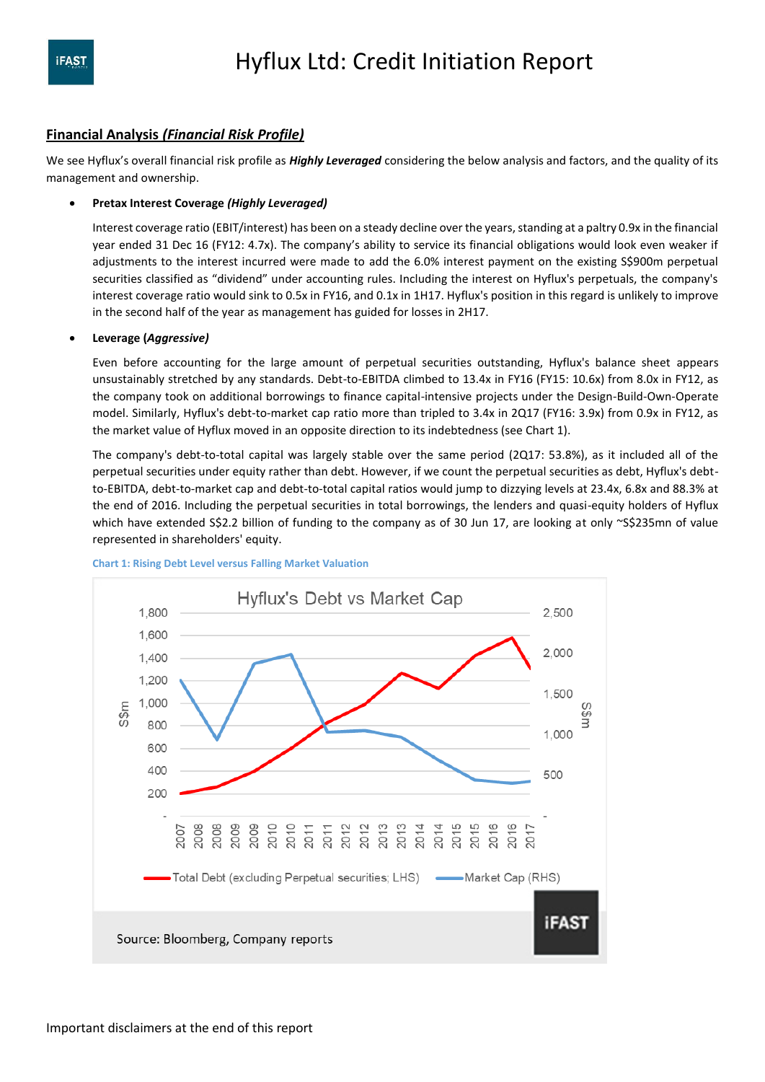### **Financial Analysis** *(Financial Risk Profile)*

We see Hyflux's overall financial risk profile as *Highly Leveraged* considering the below analysis and factors, and the quality of its management and ownership.

#### **Pretax Interest Coverage** *(Highly Leveraged)*

Interest coverage ratio (EBIT/interest) has been on a steady decline over the years, standing at a paltry 0.9x in the financial year ended 31 Dec 16 (FY12: 4.7x). The company's ability to service its financial obligations would look even weaker if adjustments to the interest incurred were made to add the 6.0% interest payment on the existing S\$900m perpetual securities classified as "dividend" under accounting rules. Including the interest on Hyflux's perpetuals, the company's interest coverage ratio would sink to 0.5x in FY16, and 0.1x in 1H17. Hyflux's position in this regard is unlikely to improve in the second half of the year as management has guided for losses in 2H17.

#### **Leverage (***Aggressive)*

Even before accounting for the large amount of perpetual securities outstanding, Hyflux's balance sheet appears unsustainably stretched by any standards. Debt-to-EBITDA climbed to 13.4x in FY16 (FY15: 10.6x) from 8.0x in FY12, as the company took on additional borrowings to finance capital-intensive projects under the Design-Build-Own-Operate model. Similarly, Hyflux's debt-to-market cap ratio more than tripled to 3.4x in 2Q17 (FY16: 3.9x) from 0.9x in FY12, as the market value of Hyflux moved in an opposite direction to its indebtedness (see Chart 1).

The company's debt-to-total capital was largely stable over the same period (2Q17: 53.8%), as it included all of the perpetual securities under equity rather than debt. However, if we count the perpetual securities as debt, Hyflux's debtto-EBITDA, debt-to-market cap and debt-to-total capital ratios would jump to dizzying levels at 23.4x, 6.8x and 88.3% at the end of 2016. Including the perpetual securities in total borrowings, the lenders and quasi-equity holders of Hyflux which have extended S\$2.2 billion of funding to the company as of 30 Jun 17, are looking at only ~S\$235mn of value represented in shareholders' equity.



#### **Chart 1: Rising Debt Level versus Falling Market Valuation**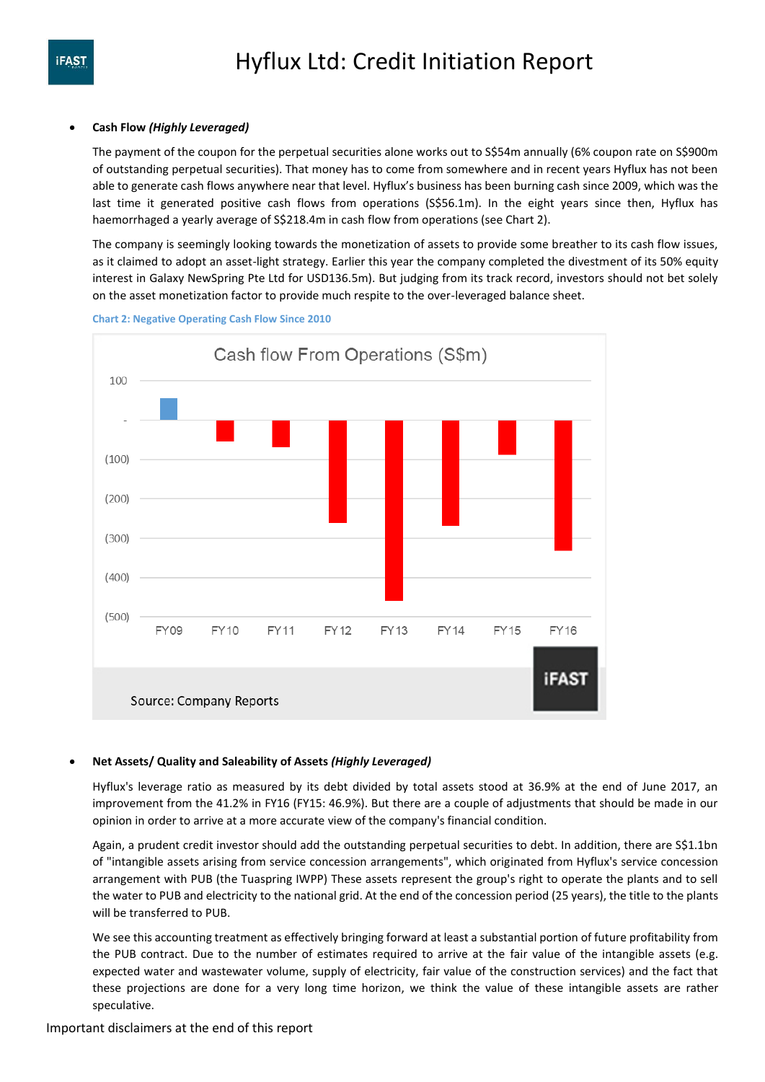#### **Cash Flow** *(Highly Leveraged)*

The payment of the coupon for the perpetual securities alone works out to S\$54m annually (6% coupon rate on S\$900m of outstanding perpetual securities). That money has to come from somewhere and in recent years Hyflux has not been able to generate cash flows anywhere near that level. Hyflux's business has been burning cash since 2009, which was the last time it generated positive cash flows from operations (S\$56.1m). In the eight years since then, Hyflux has haemorrhaged a yearly average of S\$218.4m in cash flow from operations (see Chart 2).

The company is seemingly looking towards the monetization of assets to provide some breather to its cash flow issues, as it claimed to adopt an asset-light strategy. Earlier this year the company completed the divestment of its 50% equity interest in Galaxy NewSpring Pte Ltd for USD136.5m). But judging from its track record, investors should not bet solely on the asset monetization factor to provide much respite to the over-leveraged balance sheet.





### **Net Assets/ Quality and Saleability of Assets** *(Highly Leveraged)*

Hyflux's leverage ratio as measured by its debt divided by total assets stood at 36.9% at the end of June 2017, an improvement from the 41.2% in FY16 (FY15: 46.9%). But there are a couple of adjustments that should be made in our opinion in order to arrive at a more accurate view of the company's financial condition.

Again, a prudent credit investor should add the outstanding perpetual securities to debt. In addition, there are S\$1.1bn of "intangible assets arising from service concession arrangements", which originated from Hyflux's service concession arrangement with PUB (the Tuaspring IWPP) These assets represent the group's right to operate the plants and to sell the water to PUB and electricity to the national grid. At the end of the concession period (25 years), the title to the plants will be transferred to PUB.

We see this accounting treatment as effectively bringing forward at least a substantial portion of future profitability from the PUB contract. Due to the number of estimates required to arrive at the fair value of the intangible assets (e.g. expected water and wastewater volume, supply of electricity, fair value of the construction services) and the fact that these projections are done for a very long time horizon, we think the value of these intangible assets are rather speculative.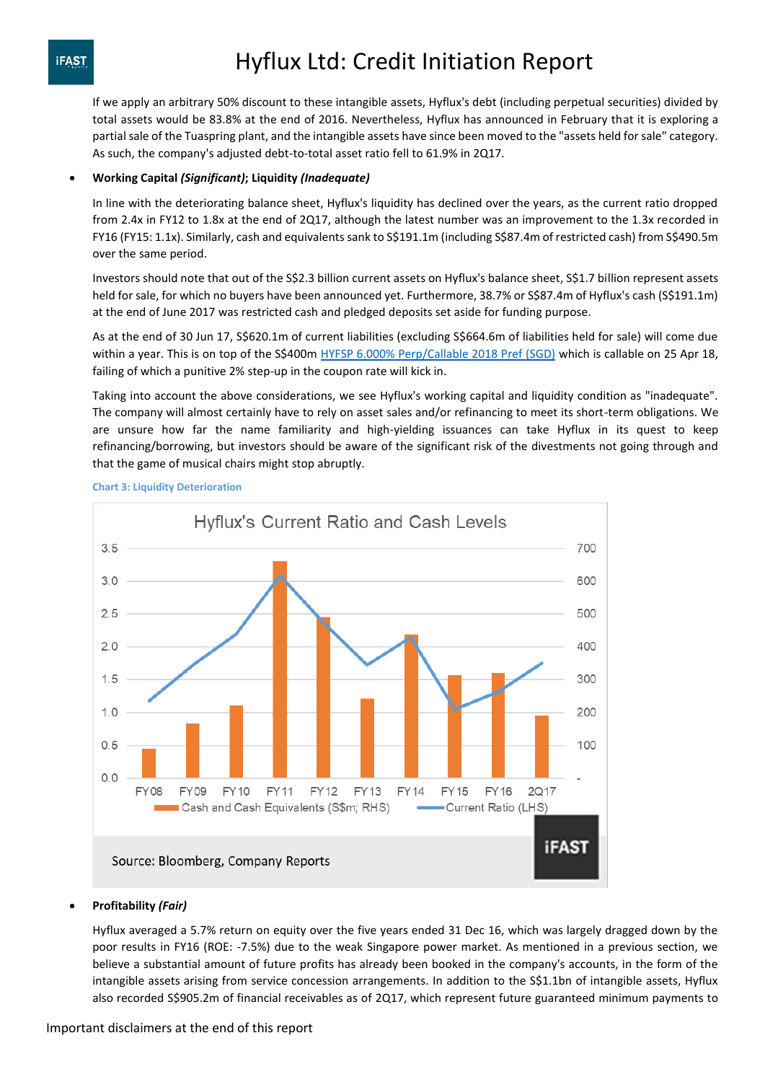If we apply an arbitrary 50% discount to these intangible assets, Hyflux's debt (including perpetual securities) divided by total assets would be 83.8% at the end of 2016. Nevertheless, Hyflux has announced in February that it is exploring a partial sale of the Tuaspring plant, and the intangible assets have since been moved to the "assets held for sale" category. As such, the company's adjusted debt-to-total asset ratio fell to 61.9% in 2Q17.

#### **Working Capital** *(Significant)***; Liquidity** *(Inadequate)*

In line with the deteriorating balance sheet, Hyflux's liquidity has declined over the years, as the current ratio dropped from 2.4x in FY12 to 1.8x at the end of 2Q17, although the latest number was an improvement to the 1.3x recorded in FY16 (FY15: 1.1x). Similarly, cash and equivalents sank to S\$191.1m (including S\$87.4m of restricted cash) from S\$490.5m over the same period.

Investors should note that out of the S\$2.3 billion current assets on Hyflux's balance sheet, S\$1.7 billion represent assets held for sale, for which no buyers have been announced yet. Furthermore, 38.7% or S\$87.4m of Hyflux's cash (S\$191.1m) at the end of June 2017 was restricted cash and pledged deposits set aside for funding purpose.

As at the end of 30 Jun 17, S\$620.1m of current liabilities (excluding S\$664.6m of liabilities held for sale) will come due within a year. This is on top of the S\$400m [HYFSP 6.000% Perp/Callable 2018 Pref \(SGD\)](https://www.bondsupermart.com/main/bond-info/bond-factsheet/SG2D17969577) which is callable on 25 Apr 18, failing of which a punitive 2% step-up in the coupon rate will kick in.

Taking into account the above considerations, we see Hyflux's working capital and liquidity condition as "inadequate". The company will almost certainly have to rely on asset sales and/or refinancing to meet its short-term obligations. We are unsure how far the name familiarity and high-yielding issuances can take Hyflux in its quest to keep refinancing/borrowing, but investors should be aware of the significant risk of the divestments not going through and that the game of musical chairs might stop abruptly.



#### **Chart 3: Liquidity Deterioration**

### **Profitability** *(Fair)*

Hyflux averaged a 5.7% return on equity over the five years ended 31 Dec 16, which was largely dragged down by the poor results in FY16 (ROE: -7.5%) due to the weak Singapore power market. As mentioned in a previous section, we believe a substantial amount of future profits has already been booked in the company's accounts, in the form of the intangible assets arising from service concession arrangements. In addition to the S\$1.1bn of intangible assets, Hyflux also recorded S\$905.2m of financial receivables as of 2Q17, which represent future guaranteed minimum payments to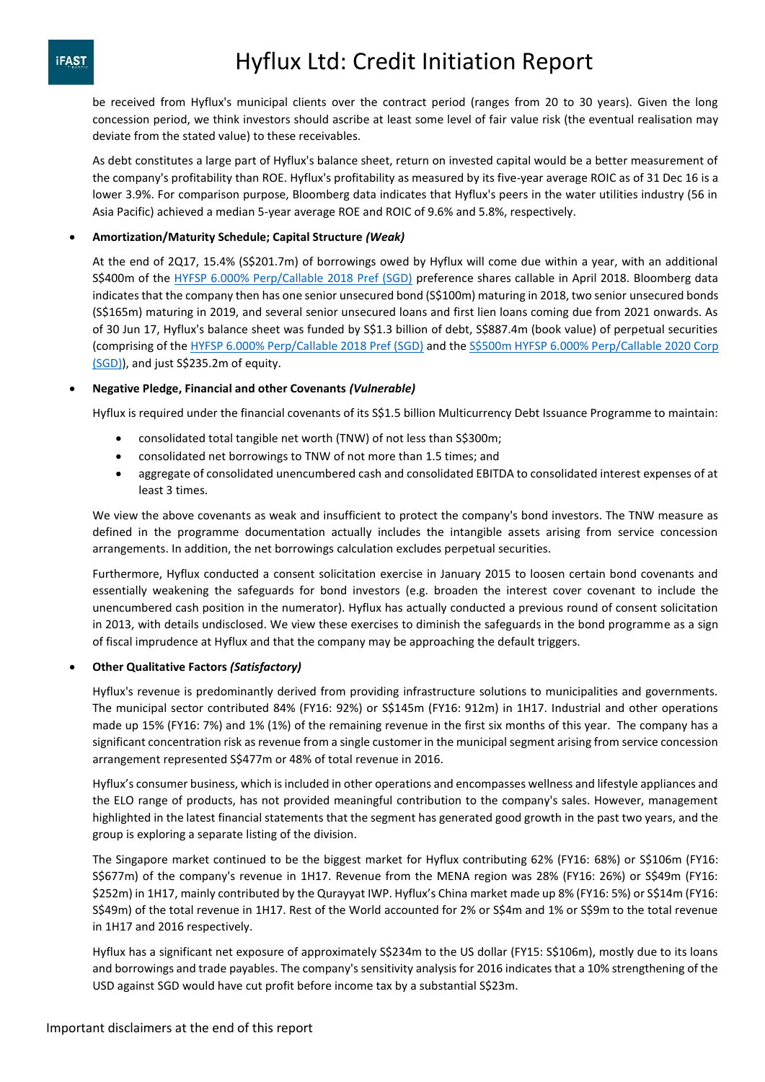be received from Hyflux's municipal clients over the contract period (ranges from 20 to 30 years). Given the long concession period, we think investors should ascribe at least some level of fair value risk (the eventual realisation may deviate from the stated value) to these receivables.

As debt constitutes a large part of Hyflux's balance sheet, return on invested capital would be a better measurement of the company's profitability than ROE. Hyflux's profitability as measured by its five-year average ROIC as of 31 Dec 16 is a lower 3.9%. For comparison purpose, Bloomberg data indicates that Hyflux's peers in the water utilities industry (56 in Asia Pacific) achieved a median 5-year average ROE and ROIC of 9.6% and 5.8%, respectively.

#### **Amortization/Maturity Schedule; Capital Structure** *(Weak)*

At the end of 2Q17, 15.4% (S\$201.7m) of borrowings owed by Hyflux will come due within a year, with an additional S\$400m of the [HYFSP 6.000% Perp/Callable 2018 Pref \(SGD\)](https://www.bondsupermart.com/main/bond-info/bond-factsheet/SG2D17969577) preference shares callable in April 2018. Bloomberg data indicates that the company then has one senior unsecured bond (S\$100m) maturing in 2018, two senior unsecured bonds (S\$165m) maturing in 2019, and several senior unsecured loans and first lien loans coming due from 2021 onwards. As of 30 Jun 17, Hyflux's balance sheet was funded by S\$1.3 billion of debt, S\$887.4m (book value) of perpetual securities (comprising of th[e HYFSP 6.000% Perp/Callable 2018 Pref \(SGD\)](https://www.bondsupermart.com/main/bond-info/bond-factsheet/SG2D17969577) and th[e S\\$500m HYFSP 6.000% Perp/Callable 2020 Corp](https://www.bondsupermart.com/main/bond-info/bond-factsheet/LW1439220)  [\(SGD\)\)](https://www.bondsupermart.com/main/bond-info/bond-factsheet/LW1439220), and just S\$235.2m of equity.

#### **Negative Pledge, Financial and other Covenants** *(Vulnerable)*

Hyflux is required under the financial covenants of its S\$1.5 billion Multicurrency Debt Issuance Programme to maintain:

- consolidated total tangible net worth (TNW) of not less than S\$300m;
- consolidated net borrowings to TNW of not more than 1.5 times; and
- aggregate of consolidated unencumbered cash and consolidated EBITDA to consolidated interest expenses of at least 3 times.

We view the above covenants as weak and insufficient to protect the company's bond investors. The TNW measure as defined in the programme documentation actually includes the intangible assets arising from service concession arrangements. In addition, the net borrowings calculation excludes perpetual securities.

Furthermore, Hyflux conducted a consent solicitation exercise in January 2015 to loosen certain bond covenants and essentially weakening the safeguards for bond investors (e.g. broaden the interest cover covenant to include the unencumbered cash position in the numerator). Hyflux has actually conducted a previous round of consent solicitation in 2013, with details undisclosed. We view these exercises to diminish the safeguards in the bond programme as a sign of fiscal imprudence at Hyflux and that the company may be approaching the default triggers.

#### **Other Qualitative Factors** *(Satisfactory)*

Hyflux's revenue is predominantly derived from providing infrastructure solutions to municipalities and governments. The municipal sector contributed 84% (FY16: 92%) or S\$145m (FY16: 912m) in 1H17. Industrial and other operations made up 15% (FY16: 7%) and 1% (1%) of the remaining revenue in the first six months of this year. The company has a significant concentration risk as revenue from a single customer in the municipal segment arising from service concession arrangement represented S\$477m or 48% of total revenue in 2016.

Hyflux's consumer business, which is included in other operations and encompasses wellness and lifestyle appliances and the ELO range of products, has not provided meaningful contribution to the company's sales. However, management highlighted in the latest financial statements that the segment has generated good growth in the past two years, and the group is exploring a separate listing of the division.

The Singapore market continued to be the biggest market for Hyflux contributing 62% (FY16: 68%) or S\$106m (FY16: S\$677m) of the company's revenue in 1H17. Revenue from the MENA region was 28% (FY16: 26%) or S\$49m (FY16: \$252m) in 1H17, mainly contributed by the Qurayyat IWP. Hyflux's China market made up 8% (FY16: 5%) or S\$14m (FY16: S\$49m) of the total revenue in 1H17. Rest of the World accounted for 2% or S\$4m and 1% or S\$9m to the total revenue in 1H17 and 2016 respectively.

Hyflux has a significant net exposure of approximately S\$234m to the US dollar (FY15: S\$106m), mostly due to its loans and borrowings and trade payables. The company's sensitivity analysis for 2016 indicates that a 10% strengthening of the USD against SGD would have cut profit before income tax by a substantial S\$23m.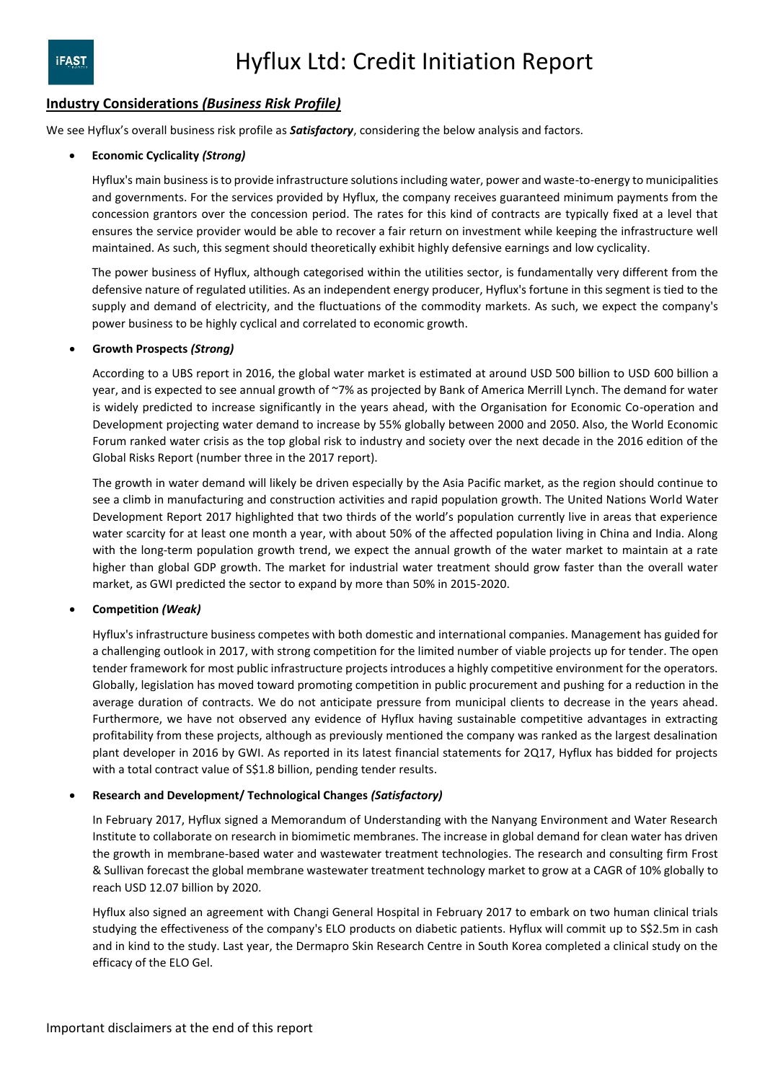### **Industry Considerations** *(Business Risk Profile)*

We see Hyflux's overall business risk profile as *Satisfactory*, considering the below analysis and factors.

#### **Economic Cyclicality** *(Strong)*

Hyflux's main business is to provide infrastructure solutions including water, power and waste-to-energy to municipalities and governments. For the services provided by Hyflux, the company receives guaranteed minimum payments from the concession grantors over the concession period. The rates for this kind of contracts are typically fixed at a level that ensures the service provider would be able to recover a fair return on investment while keeping the infrastructure well maintained. As such, this segment should theoretically exhibit highly defensive earnings and low cyclicality.

The power business of Hyflux, although categorised within the utilities sector, is fundamentally very different from the defensive nature of regulated utilities. As an independent energy producer, Hyflux's fortune in this segment is tied to the supply and demand of electricity, and the fluctuations of the commodity markets. As such, we expect the company's power business to be highly cyclical and correlated to economic growth.

#### **Growth Prospects** *(Strong)*

According to a UBS report in 2016, the global water market is estimated at around USD 500 billion to USD 600 billion a year, and is expected to see annual growth of ~7% as projected by Bank of America Merrill Lynch. The demand for water is widely predicted to increase significantly in the years ahead, with the Organisation for Economic Co-operation and Development projecting water demand to increase by 55% globally between 2000 and 2050. Also, the World Economic Forum ranked water crisis as the top global risk to industry and society over the next decade in the 2016 edition of the Global Risks Report (number three in the 2017 report).

The growth in water demand will likely be driven especially by the Asia Pacific market, as the region should continue to see a climb in manufacturing and construction activities and rapid population growth. The United Nations World Water Development Report 2017 highlighted that two thirds of the world's population currently live in areas that experience water scarcity for at least one month a year, with about 50% of the affected population living in China and India. Along with the long-term population growth trend, we expect the annual growth of the water market to maintain at a rate higher than global GDP growth. The market for industrial water treatment should grow faster than the overall water market, as GWI predicted the sector to expand by more than 50% in 2015-2020.

#### **Competition** *(Weak)*

Hyflux's infrastructure business competes with both domestic and international companies. Management has guided for a challenging outlook in 2017, with strong competition for the limited number of viable projects up for tender. The open tender framework for most public infrastructure projects introduces a highly competitive environment for the operators. Globally, legislation has moved toward promoting competition in public procurement and pushing for a reduction in the average duration of contracts. We do not anticipate pressure from municipal clients to decrease in the years ahead. Furthermore, we have not observed any evidence of Hyflux having sustainable competitive advantages in extracting profitability from these projects, although as previously mentioned the company was ranked as the largest desalination plant developer in 2016 by GWI. As reported in its latest financial statements for 2Q17, Hyflux has bidded for projects with a total contract value of S\$1.8 billion, pending tender results.

#### **Research and Development/ Technological Changes** *(Satisfactory)*

In February 2017, Hyflux signed a Memorandum of Understanding with the Nanyang Environment and Water Research Institute to collaborate on research in biomimetic membranes. The increase in global demand for clean water has driven the growth in membrane-based water and wastewater treatment technologies. The research and consulting firm Frost & Sullivan forecast the global membrane wastewater treatment technology market to grow at a CAGR of 10% globally to reach USD 12.07 billion by 2020.

Hyflux also signed an agreement with Changi General Hospital in February 2017 to embark on two human clinical trials studying the effectiveness of the company's ELO products on diabetic patients. Hyflux will commit up to S\$2.5m in cash and in kind to the study. Last year, the Dermapro Skin Research Centre in South Korea completed a clinical study on the efficacy of the ELO Gel.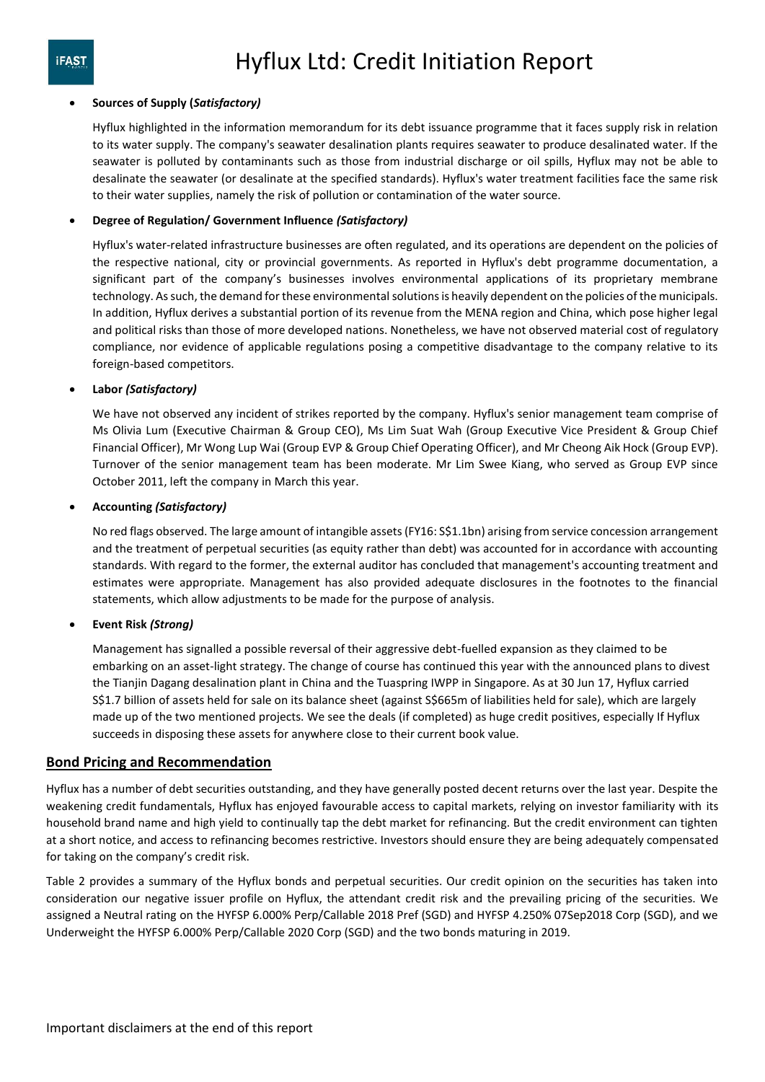#### **Sources of Supply (***Satisfactory)*

Hyflux highlighted in the information memorandum for its debt issuance programme that it faces supply risk in relation to its water supply. The company's seawater desalination plants requires seawater to produce desalinated water. If the seawater is polluted by contaminants such as those from industrial discharge or oil spills, Hyflux may not be able to desalinate the seawater (or desalinate at the specified standards). Hyflux's water treatment facilities face the same risk to their water supplies, namely the risk of pollution or contamination of the water source.

#### **Degree of Regulation/ Government Influence** *(Satisfactory)*

Hyflux's water-related infrastructure businesses are often regulated, and its operations are dependent on the policies of the respective national, city or provincial governments. As reported in Hyflux's debt programme documentation, a significant part of the company's businesses involves environmental applications of its proprietary membrane technology. As such, the demand for these environmental solutions is heavily dependent on the policies of the municipals. In addition, Hyflux derives a substantial portion of its revenue from the MENA region and China, which pose higher legal and political risks than those of more developed nations. Nonetheless, we have not observed material cost of regulatory compliance, nor evidence of applicable regulations posing a competitive disadvantage to the company relative to its foreign-based competitors.

#### **Labor** *(Satisfactory)*

We have not observed any incident of strikes reported by the company. Hyflux's senior management team comprise of Ms Olivia Lum (Executive Chairman & Group CEO), Ms Lim Suat Wah (Group Executive Vice President & Group Chief Financial Officer), Mr Wong Lup Wai (Group EVP & Group Chief Operating Officer), and Mr Cheong Aik Hock (Group EVP). Turnover of the senior management team has been moderate. Mr Lim Swee Kiang, who served as Group EVP since October 2011, left the company in March this year.

#### **Accounting** *(Satisfactory)*

No red flags observed. The large amount of intangible assets (FY16: S\$1.1bn) arising from service concession arrangement and the treatment of perpetual securities (as equity rather than debt) was accounted for in accordance with accounting standards. With regard to the former, the external auditor has concluded that management's accounting treatment and estimates were appropriate. Management has also provided adequate disclosures in the footnotes to the financial statements, which allow adjustments to be made for the purpose of analysis.

### **Event Risk** *(Strong)*

Management has signalled a possible reversal of their aggressive debt-fuelled expansion as they claimed to be embarking on an asset-light strategy. The change of course has continued this year with the announced plans to divest the Tianjin Dagang desalination plant in China and the Tuaspring IWPP in Singapore. As at 30 Jun 17, Hyflux carried S\$1.7 billion of assets held for sale on its balance sheet (against S\$665m of liabilities held for sale), which are largely made up of the two mentioned projects. We see the deals (if completed) as huge credit positives, especially If Hyflux succeeds in disposing these assets for anywhere close to their current book value.

### **Bond Pricing and Recommendation**

Hyflux has a number of debt securities outstanding, and they have generally posted decent returns over the last year. Despite the weakening credit fundamentals, Hyflux has enjoyed favourable access to capital markets, relying on investor familiarity with its household brand name and high yield to continually tap the debt market for refinancing. But the credit environment can tighten at a short notice, and access to refinancing becomes restrictive. Investors should ensure they are being adequately compensated for taking on the company's credit risk.

Table 2 provides a summary of the Hyflux bonds and perpetual securities. Our credit opinion on the securities has taken into consideration our negative issuer profile on Hyflux, the attendant credit risk and the prevailing pricing of the securities. We assigned a Neutral rating on the HYFSP 6.000% Perp/Callable 2018 Pref (SGD) and HYFSP 4.250% 07Sep2018 Corp (SGD), and we Underweight the HYFSP 6.000% Perp/Callable 2020 Corp (SGD) and the two bonds maturing in 2019.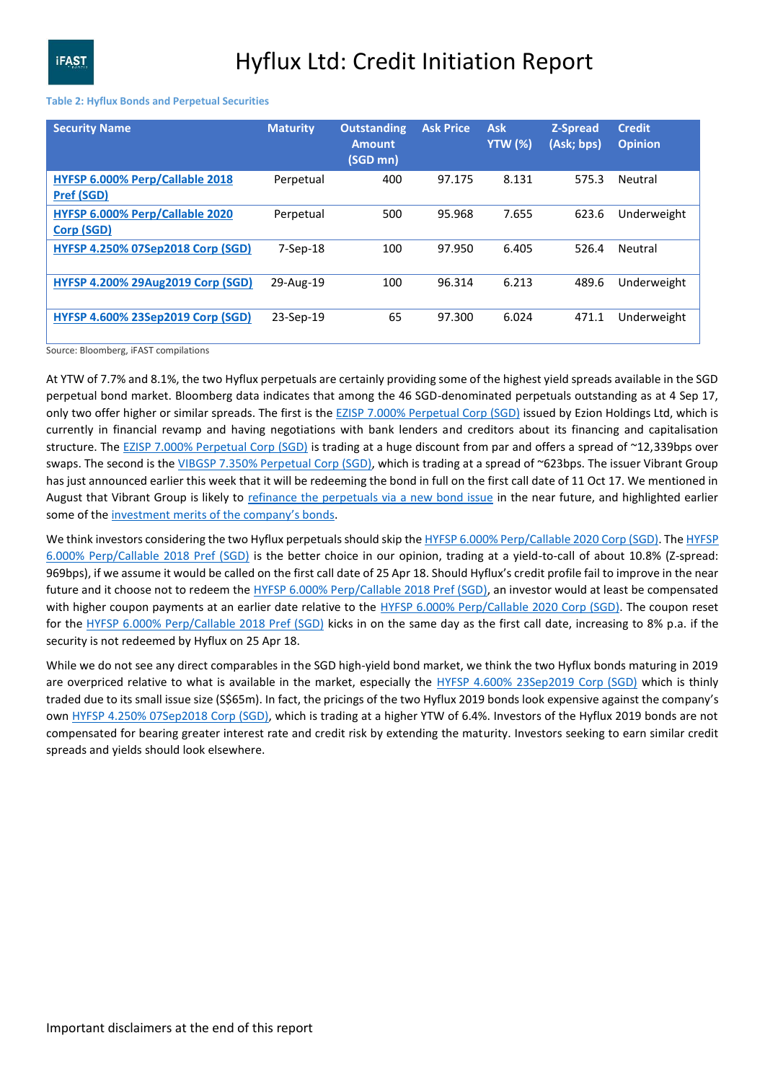#### **Table 2: Hyflux Bonds and Perpetual Securities**

| <b>Security Name</b>                                 | <b>Maturity</b> | <b>Outstanding</b><br><b>Amount</b><br>(SGD mn) | <b>Ask Price</b> | <b>Ask</b><br><b>YTW (%)</b> | <b>Z-Spread</b><br>(Ask; bps) | <b>Credit</b><br><b>Opinion</b> |
|------------------------------------------------------|-----------------|-------------------------------------------------|------------------|------------------------------|-------------------------------|---------------------------------|
| HYFSP 6.000% Perp/Callable 2018<br><b>Pref (SGD)</b> | Perpetual       | 400                                             | 97.175           | 8.131                        | 575.3                         | Neutral                         |
| HYFSP 6.000% Perp/Callable 2020<br>Corp (SGD)        | Perpetual       | 500                                             | 95.968           | 7.655                        | 623.6                         | Underweight                     |
| <b>HYFSP 4.250% 07Sep2018 Corp (SGD)</b>             | $7-$ Sep $-18$  | 100                                             | 97.950           | 6.405                        | 526.4                         | Neutral                         |
| <b>HYFSP 4.200% 29Aug2019 Corp (SGD)</b>             | 29-Aug-19       | 100                                             | 96.314           | 6.213                        | 489.6                         | Underweight                     |
| <b>HYFSP 4.600% 23Sep2019 Corp (SGD)</b>             | 23-Sep-19       | 65                                              | 97.300           | 6.024                        | 471.1                         | Underweight                     |

Source: Bloomberg, iFAST compilations

At YTW of 7.7% and 8.1%, the two Hyflux perpetuals are certainly providing some of the highest yield spreads available in the SGD perpetual bond market. Bloomberg data indicates that among the 46 SGD-denominated perpetuals outstanding as at 4 Sep 17, only two offer higher or similar spreads. The first is the **EZISP 7.000% Perpetual Corp (SGD)** issued by Ezion Holdings Ltd, which is currently in financial revamp and having negotiations with bank lenders and creditors about its financing and capitalisation structure. The [EZISP 7.000% Perpetual Corp \(SGD\)](https://www.bondsupermart.com/main/bond-info/bond-factsheet/SG6UH9000009) is trading at a huge discount from par and offers a spread of ~12,339bps over swaps. The second is th[e VIBGSP 7.350% Perpetual Corp \(SGD\),](https://www.bondsupermart.com/main/bond-info/bond-factsheet/SG6PF6000006) which is trading at a spread of ~623bps. The issuer Vibrant Group has just announced earlier this week that it will be redeeming the bond in full on the first call date of 11 Oct 17. We mentioned in August that Vibrant Group is likely to [refinance the perpetuals via a new bond issue](https://www.bondsupermart.com/main/article/Vibrant-Group-New-High-Yield-SGD-Bond-Issue-444) in the near future, and highlighted earlier some of the [investment merits of the company's bonds](https://www.bondsupermart.com/main/article/Vibrant-Group39s-2017-bonds-Undervalued-363).

We think investors considering the two Hyflux perpetuals should skip th[e HYFSP 6.000% Perp/Callable 2020 Corp \(SGD\).](https://www.bondsupermart.com/main/bond-info/bond-factsheet/LW1439220) Th[e HYFSP](https://www.bondsupermart.com/main/bond-info/bond-factsheet/SG2D17969577)  [6.000% Perp/Callable 2018 Pref \(SGD\)](https://www.bondsupermart.com/main/bond-info/bond-factsheet/SG2D17969577) is the better choice in our opinion, trading at a yield-to-call of about 10.8% (Z-spread: 969bps), if we assume it would be called on the first call date of 25 Apr 18. Should Hyflux's credit profile fail to improve in the near future and it choose not to redeem the [HYFSP 6.000% Perp/Callable 2018 Pref \(SGD\),](https://www.bondsupermart.com/main/bond-info/bond-factsheet/SG2D17969577) an investor would at least be compensated with higher coupon payments at an earlier date relative to the [HYFSP 6.000% Perp/Callable 2020 Corp \(SGD\).](https://www.bondsupermart.com/main/bond-info/bond-factsheet/LW1439220) The coupon reset for the [HYFSP 6.000% Perp/Callable 2018 Pref \(SGD\)](https://www.bondsupermart.com/main/bond-info/bond-factsheet/SG2D17969577) kicks in on the same day as the first call date, increasing to 8% p.a. if the security is not redeemed by Hyflux on 25 Apr 18.

While we do not see any direct comparables in the SGD high-yield bond market, we think the two Hyflux bonds maturing in 2019 are overpriced relative to what is available in the market, especially the [HYFSP 4.600% 23Sep2019 Corp \(SGD\)](https://www.bondsupermart.com/main/bond-info/bond-factsheet/SG6Q77974112) which is thinly traded due to its small issue size (S\$65m). In fact, the pricings of the two Hyflux 2019 bonds look expensive against the company's own [HYFSP 4.250% 07Sep2018 Corp \(SGD\),](https://www.bondsupermart.com/main/bond-info/bond-factsheet/SG6Q70974010) which is trading at a higher YTW of 6.4%. Investors of the Hyflux 2019 bonds are not compensated for bearing greater interest rate and credit risk by extending the maturity. Investors seeking to earn similar credit spreads and yields should look elsewhere.